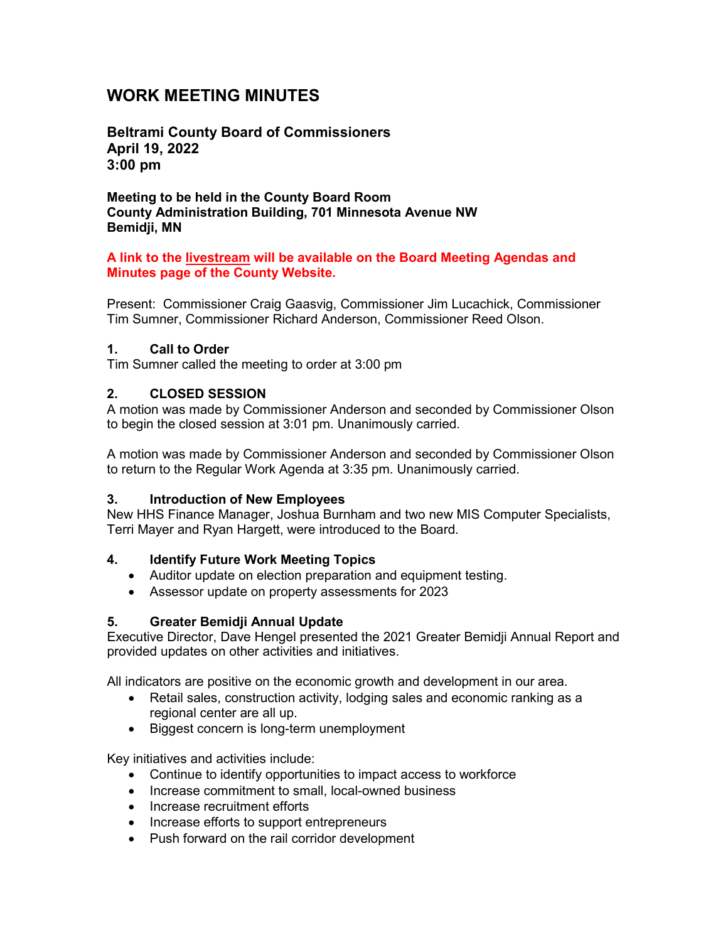# **WORK MEETING MINUTES**

**Beltrami County Board of Commissioners April 19, 2022 3:00 pm**

**Meeting to be held in the County Board Room County Administration Building, 701 Minnesota Avenue NW Bemidji, MN**

#### **A link to the livestream will be available on the Board Meeting Agendas and Minutes page of the County Website.**

Present: Commissioner Craig Gaasvig, Commissioner Jim Lucachick, Commissioner Tim Sumner, Commissioner Richard Anderson, Commissioner Reed Olson.

#### **1. Call to Order**

Tim Sumner called the meeting to order at 3:00 pm

#### **2. CLOSED SESSION**

A motion was made by Commissioner Anderson and seconded by Commissioner Olson to begin the closed session at 3:01 pm. Unanimously carried.

A motion was made by Commissioner Anderson and seconded by Commissioner Olson to return to the Regular Work Agenda at 3:35 pm. Unanimously carried.

#### **3. Introduction of New Employees**

New HHS Finance Manager, Joshua Burnham and two new MIS Computer Specialists, Terri Mayer and Ryan Hargett, were introduced to the Board.

#### **4. Identify Future Work Meeting Topics**

- Auditor update on election preparation and equipment testing.
- Assessor update on property assessments for 2023

#### **5. Greater Bemidji Annual Update**

Executive Director, Dave Hengel presented the 2021 Greater Bemidji Annual Report and provided updates on other activities and initiatives.

All indicators are positive on the economic growth and development in our area.

- Retail sales, construction activity, lodging sales and economic ranking as a regional center are all up.
- Biggest concern is long-term unemployment

Key initiatives and activities include:

- Continue to identify opportunities to impact access to workforce
- Increase commitment to small, local-owned business
- Increase recruitment efforts
- Increase efforts to support entrepreneurs
- Push forward on the rail corridor development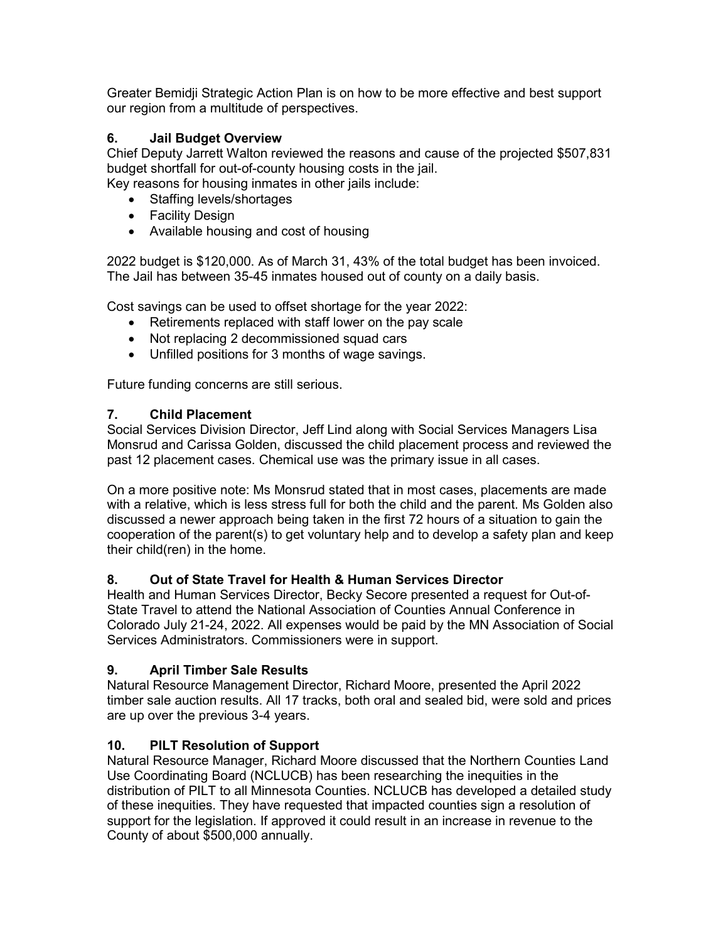Greater Bemidji Strategic Action Plan is on how to be more effective and best support our region from a multitude of perspectives.

## **6. Jail Budget Overview**

Chief Deputy Jarrett Walton reviewed the reasons and cause of the projected \$507,831 budget shortfall for out-of-county housing costs in the jail.

Key reasons for housing inmates in other jails include:

- Staffing levels/shortages
- Facility Design
- Available housing and cost of housing

2022 budget is \$120,000. As of March 31, 43% of the total budget has been invoiced. The Jail has between 35-45 inmates housed out of county on a daily basis.

Cost savings can be used to offset shortage for the year 2022:

- Retirements replaced with staff lower on the pay scale
- Not replacing 2 decommissioned squad cars
- Unfilled positions for 3 months of wage savings.

Future funding concerns are still serious.

### **7. Child Placement**

Social Services Division Director, Jeff Lind along with Social Services Managers Lisa Monsrud and Carissa Golden, discussed the child placement process and reviewed the past 12 placement cases. Chemical use was the primary issue in all cases.

On a more positive note: Ms Monsrud stated that in most cases, placements are made with a relative, which is less stress full for both the child and the parent. Ms Golden also discussed a newer approach being taken in the first 72 hours of a situation to gain the cooperation of the parent(s) to get voluntary help and to develop a safety plan and keep their child(ren) in the home.

## **8. Out of State Travel for Health & Human Services Director**

Health and Human Services Director, Becky Secore presented a request for Out-of-State Travel to attend the National Association of Counties Annual Conference in Colorado July 21-24, 2022. All expenses would be paid by the MN Association of Social Services Administrators. Commissioners were in support.

## **9. April Timber Sale Results**

Natural Resource Management Director, Richard Moore, presented the April 2022 timber sale auction results. All 17 tracks, both oral and sealed bid, were sold and prices are up over the previous 3-4 years.

## **10. PILT Resolution of Support**

Natural Resource Manager, Richard Moore discussed that the Northern Counties Land Use Coordinating Board (NCLUCB) has been researching the inequities in the distribution of PILT to all Minnesota Counties. NCLUCB has developed a detailed study of these inequities. They have requested that impacted counties sign a resolution of support for the legislation. If approved it could result in an increase in revenue to the County of about \$500,000 annually.